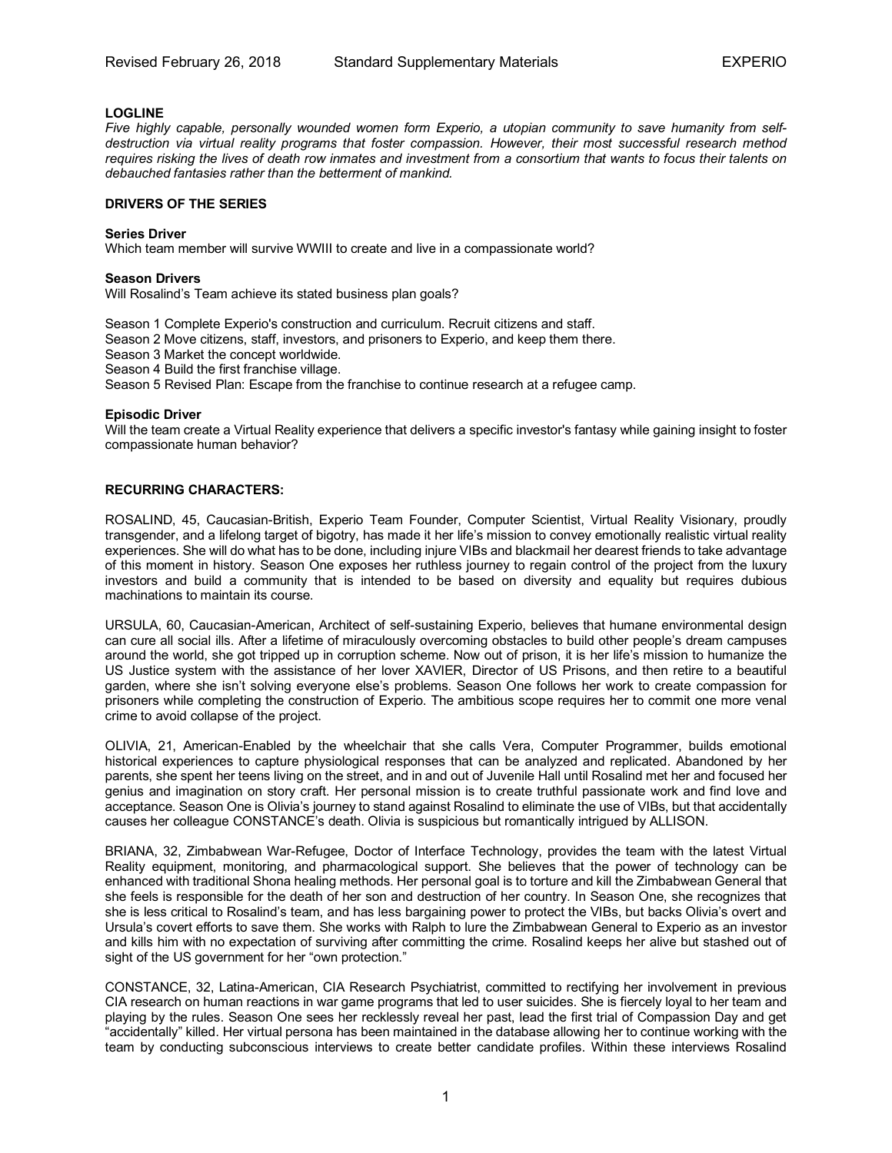# **LOGLINE**

*Five highly capable, personally wounded women form Experio, a utopian community to save humanity from selfdestruction via virtual reality programs that foster compassion. However, their most successful research method requires risking the lives of death row inmates and investment from a consortium that wants to focus their talents on debauched fantasies rather than the betterment of mankind.*

### **DRIVERS OF THE SERIES**

### **Series Driver**

Which team member will survive WWIII to create and live in a compassionate world?

### **Season Drivers**

Will Rosalind's Team achieve its stated business plan goals?

Season 1 Complete Experio's construction and curriculum. Recruit citizens and staff.

Season 2 Move citizens, staff, investors, and prisoners to Experio, and keep them there.

Season 3 Market the concept worldwide.

Season 4 Build the first franchise village.

Season 5 Revised Plan: Escape from the franchise to continue research at a refugee camp.

### **Episodic Driver**

Will the team create a Virtual Reality experience that delivers a specific investor's fantasy while gaining insight to foster compassionate human behavior?

## **RECURRING CHARACTERS:**

ROSALIND, 45, Caucasian-British, Experio Team Founder, Computer Scientist, Virtual Reality Visionary, proudly transgender, and a lifelong target of bigotry, has made it her life's mission to convey emotionally realistic virtual reality experiences. She will do what has to be done, including injure VIBs and blackmail her dearest friends to take advantage of this moment in history. Season One exposes her ruthless journey to regain control of the project from the luxury investors and build a community that is intended to be based on diversity and equality but requires dubious machinations to maintain its course.

URSULA, 60, Caucasian-American, Architect of self-sustaining Experio, believes that humane environmental design can cure all social ills. After a lifetime of miraculously overcoming obstacles to build other people's dream campuses around the world, she got tripped up in corruption scheme. Now out of prison, it is her life's mission to humanize the US Justice system with the assistance of her lover XAVIER, Director of US Prisons, and then retire to a beautiful garden, where she isn't solving everyone else's problems. Season One follows her work to create compassion for prisoners while completing the construction of Experio. The ambitious scope requires her to commit one more venal crime to avoid collapse of the project.

OLIVIA, 21, American-Enabled by the wheelchair that she calls Vera, Computer Programmer, builds emotional historical experiences to capture physiological responses that can be analyzed and replicated. Abandoned by her parents, she spent her teens living on the street, and in and out of Juvenile Hall until Rosalind met her and focused her genius and imagination on story craft. Her personal mission is to create truthful passionate work and find love and acceptance. Season One is Olivia's journey to stand against Rosalind to eliminate the use of VIBs, but that accidentally causes her colleague CONSTANCE's death. Olivia is suspicious but romantically intrigued by ALLISON.

BRIANA, 32, Zimbabwean War-Refugee, Doctor of Interface Technology, provides the team with the latest Virtual Reality equipment, monitoring, and pharmacological support. She believes that the power of technology can be enhanced with traditional Shona healing methods. Her personal goal is to torture and kill the Zimbabwean General that she feels is responsible for the death of her son and destruction of her country. In Season One, she recognizes that she is less critical to Rosalind's team, and has less bargaining power to protect the VIBs, but backs Olivia's overt and Ursula's covert efforts to save them. She works with Ralph to lure the Zimbabwean General to Experio as an investor and kills him with no expectation of surviving after committing the crime. Rosalind keeps her alive but stashed out of sight of the US government for her "own protection."

CONSTANCE, 32, Latina-American, CIA Research Psychiatrist, committed to rectifying her involvement in previous CIA research on human reactions in war game programs that led to user suicides. She is fiercely loyal to her team and playing by the rules. Season One sees her recklessly reveal her past, lead the first trial of Compassion Day and get "accidentally" killed. Her virtual persona has been maintained in the database allowing her to continue working with the team by conducting subconscious interviews to create better candidate profiles. Within these interviews Rosalind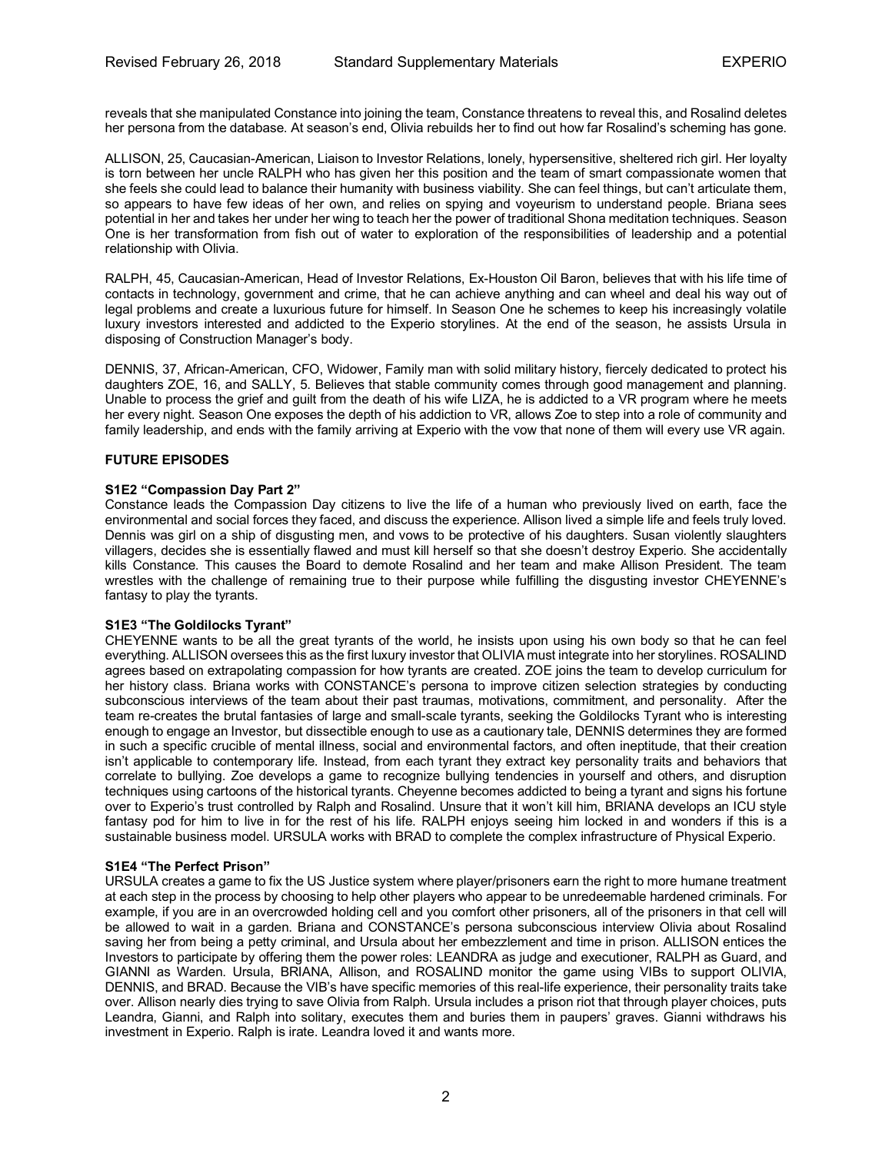reveals that she manipulated Constance into joining the team, Constance threatens to reveal this, and Rosalind deletes her persona from the database. At season's end, Olivia rebuilds her to find out how far Rosalind's scheming has gone.

ALLISON, 25, Caucasian-American, Liaison to Investor Relations, lonely, hypersensitive, sheltered rich girl. Her loyalty is torn between her uncle RALPH who has given her this position and the team of smart compassionate women that she feels she could lead to balance their humanity with business viability. She can feel things, but can't articulate them, so appears to have few ideas of her own, and relies on spying and voyeurism to understand people. Briana sees potential in her and takes her under her wing to teach her the power of traditional Shona meditation techniques. Season One is her transformation from fish out of water to exploration of the responsibilities of leadership and a potential relationship with Olivia.

RALPH, 45, Caucasian-American, Head of Investor Relations, Ex-Houston Oil Baron, believes that with his life time of contacts in technology, government and crime, that he can achieve anything and can wheel and deal his way out of legal problems and create a luxurious future for himself. In Season One he schemes to keep his increasingly volatile luxury investors interested and addicted to the Experio storylines. At the end of the season, he assists Ursula in disposing of Construction Manager's body.

DENNIS, 37, African-American, CFO, Widower, Family man with solid military history, fiercely dedicated to protect his daughters ZOE, 16, and SALLY, 5. Believes that stable community comes through good management and planning. Unable to process the grief and guilt from the death of his wife LIZA, he is addicted to a VR program where he meets her every night. Season One exposes the depth of his addiction to VR, allows Zoe to step into a role of community and family leadership, and ends with the family arriving at Experio with the vow that none of them will every use VR again.

## **FUTURE EPISODES**

## **S1E2 "Compassion Day Part 2"**

Constance leads the Compassion Day citizens to live the life of a human who previously lived on earth, face the environmental and social forces they faced, and discuss the experience. Allison lived a simple life and feels truly loved. Dennis was girl on a ship of disgusting men, and vows to be protective of his daughters. Susan violently slaughters villagers, decides she is essentially flawed and must kill herself so that she doesn't destroy Experio. She accidentally kills Constance. This causes the Board to demote Rosalind and her team and make Allison President. The team wrestles with the challenge of remaining true to their purpose while fulfilling the disgusting investor CHEYENNE's fantasy to play the tyrants.

## **S1E3 "The Goldilocks Tyrant"**

CHEYENNE wants to be all the great tyrants of the world, he insists upon using his own body so that he can feel everything. ALLISON oversees this as the first luxury investor that OLIVIA must integrate into her storylines. ROSALIND agrees based on extrapolating compassion for how tyrants are created. ZOE joins the team to develop curriculum for her history class. Briana works with CONSTANCE's persona to improve citizen selection strategies by conducting subconscious interviews of the team about their past traumas, motivations, commitment, and personality. After the team re-creates the brutal fantasies of large and small-scale tyrants, seeking the Goldilocks Tyrant who is interesting enough to engage an Investor, but dissectible enough to use as a cautionary tale, DENNIS determines they are formed in such a specific crucible of mental illness, social and environmental factors, and often ineptitude, that their creation isn't applicable to contemporary life. Instead, from each tyrant they extract key personality traits and behaviors that correlate to bullying. Zoe develops a game to recognize bullying tendencies in yourself and others, and disruption techniques using cartoons of the historical tyrants. Cheyenne becomes addicted to being a tyrant and signs his fortune over to Experio's trust controlled by Ralph and Rosalind. Unsure that it won't kill him, BRIANA develops an ICU style fantasy pod for him to live in for the rest of his life. RALPH enjoys seeing him locked in and wonders if this is a sustainable business model. URSULA works with BRAD to complete the complex infrastructure of Physical Experio.

### **S1E4 "The Perfect Prison"**

URSULA creates a game to fix the US Justice system where player/prisoners earn the right to more humane treatment at each step in the process by choosing to help other players who appear to be unredeemable hardened criminals. For example, if you are in an overcrowded holding cell and you comfort other prisoners, all of the prisoners in that cell will be allowed to wait in a garden. Briana and CONSTANCE's persona subconscious interview Olivia about Rosalind saving her from being a petty criminal, and Ursula about her embezzlement and time in prison. ALLISON entices the Investors to participate by offering them the power roles: LEANDRA as judge and executioner, RALPH as Guard, and GIANNI as Warden. Ursula, BRIANA, Allison, and ROSALIND monitor the game using VIBs to support OLIVIA, DENNIS, and BRAD. Because the VIB's have specific memories of this real-life experience, their personality traits take over. Allison nearly dies trying to save Olivia from Ralph. Ursula includes a prison riot that through player choices, puts Leandra, Gianni, and Ralph into solitary, executes them and buries them in paupers' graves. Gianni withdraws his investment in Experio. Ralph is irate. Leandra loved it and wants more.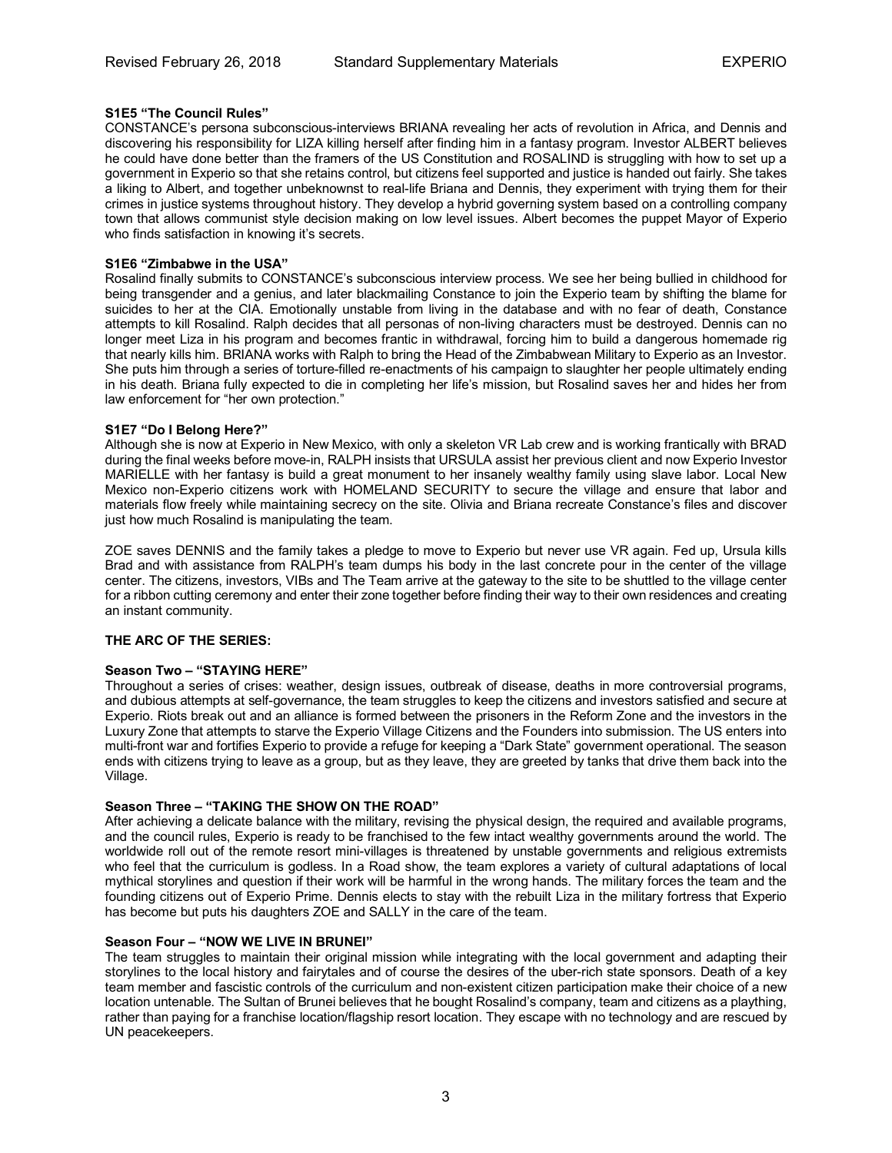# **S1E5 "The Council Rules"**

CONSTANCE's persona subconscious-interviews BRIANA revealing her acts of revolution in Africa, and Dennis and discovering his responsibility for LIZA killing herself after finding him in a fantasy program. Investor ALBERT believes he could have done better than the framers of the US Constitution and ROSALIND is struggling with how to set up a government in Experio so that she retains control, but citizens feel supported and justice is handed out fairly. She takes a liking to Albert, and together unbeknownst to real-life Briana and Dennis, they experiment with trying them for their crimes in justice systems throughout history. They develop a hybrid governing system based on a controlling company town that allows communist style decision making on low level issues. Albert becomes the puppet Mayor of Experio who finds satisfaction in knowing it's secrets.

# **S1E6 "Zimbabwe in the USA"**

Rosalind finally submits to CONSTANCE's subconscious interview process. We see her being bullied in childhood for being transgender and a genius, and later blackmailing Constance to join the Experio team by shifting the blame for suicides to her at the CIA. Emotionally unstable from living in the database and with no fear of death, Constance attempts to kill Rosalind. Ralph decides that all personas of non-living characters must be destroyed. Dennis can no longer meet Liza in his program and becomes frantic in withdrawal, forcing him to build a dangerous homemade rig that nearly kills him. BRIANA works with Ralph to bring the Head of the Zimbabwean Military to Experio as an Investor. She puts him through a series of torture-filled re-enactments of his campaign to slaughter her people ultimately ending in his death. Briana fully expected to die in completing her life's mission, but Rosalind saves her and hides her from law enforcement for "her own protection."

# **S1E7 "Do I Belong Here?"**

Although she is now at Experio in New Mexico, with only a skeleton VR Lab crew and is working frantically with BRAD during the final weeks before move-in, RALPH insists that URSULA assist her previous client and now Experio Investor MARIELLE with her fantasy is build a great monument to her insanely wealthy family using slave labor. Local New Mexico non-Experio citizens work with HOMELAND SECURITY to secure the village and ensure that labor and materials flow freely while maintaining secrecy on the site. Olivia and Briana recreate Constance's files and discover just how much Rosalind is manipulating the team.

ZOE saves DENNIS and the family takes a pledge to move to Experio but never use VR again. Fed up, Ursula kills Brad and with assistance from RALPH's team dumps his body in the last concrete pour in the center of the village center. The citizens, investors, VIBs and The Team arrive at the gateway to the site to be shuttled to the village center for a ribbon cutting ceremony and enter their zone together before finding their way to their own residences and creating an instant community.

# **THE ARC OF THE SERIES:**

## **Season Two – "STAYING HERE"**

Throughout a series of crises: weather, design issues, outbreak of disease, deaths in more controversial programs, and dubious attempts at self-governance, the team struggles to keep the citizens and investors satisfied and secure at Experio. Riots break out and an alliance is formed between the prisoners in the Reform Zone and the investors in the Luxury Zone that attempts to starve the Experio Village Citizens and the Founders into submission. The US enters into multi-front war and fortifies Experio to provide a refuge for keeping a "Dark State" government operational. The season ends with citizens trying to leave as a group, but as they leave, they are greeted by tanks that drive them back into the Village.

## **Season Three – "TAKING THE SHOW ON THE ROAD"**

After achieving a delicate balance with the military, revising the physical design, the required and available programs, and the council rules, Experio is ready to be franchised to the few intact wealthy governments around the world. The worldwide roll out of the remote resort mini-villages is threatened by unstable governments and religious extremists who feel that the curriculum is godless. In a Road show, the team explores a variety of cultural adaptations of local mythical storylines and question if their work will be harmful in the wrong hands. The military forces the team and the founding citizens out of Experio Prime. Dennis elects to stay with the rebuilt Liza in the military fortress that Experio has become but puts his daughters ZOE and SALLY in the care of the team.

## **Season Four – "NOW WE LIVE IN BRUNEI"**

The team struggles to maintain their original mission while integrating with the local government and adapting their storylines to the local history and fairytales and of course the desires of the uber-rich state sponsors. Death of a key team member and fascistic controls of the curriculum and non-existent citizen participation make their choice of a new location untenable. The Sultan of Brunei believes that he bought Rosalind's company, team and citizens as a plaything, rather than paying for a franchise location/flagship resort location. They escape with no technology and are rescued by UN peacekeepers.